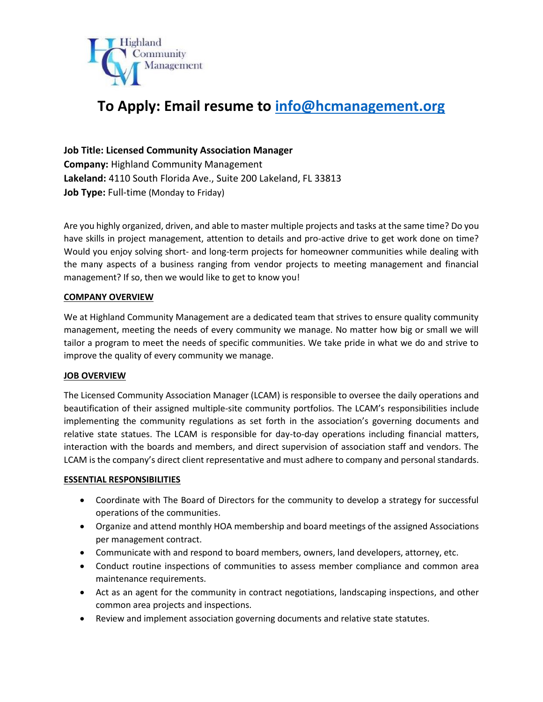

# **To Apply: Email resume to [info@hcmanagement.org](mailto:info@hcmanagement.org)**

**Job Title: Licensed Community Association Manager Company:** Highland Community Management **Lakeland:** 4110 South Florida Ave., Suite 200 Lakeland, FL 33813 **Job Type:** Full-time (Monday to Friday)

Are you highly organized, driven, and able to master multiple projects and tasks at the same time? Do you have skills in project management, attention to details and pro-active drive to get work done on time? Would you enjoy solving short- and long-term projects for homeowner communities while dealing with the many aspects of a business ranging from vendor projects to meeting management and financial management? If so, then we would like to get to know you!

## **COMPANY OVERVIEW**

We at Highland Community Management are a dedicated team that strives to ensure quality community management, meeting the needs of every community we manage. No matter how big or small we will tailor a program to meet the needs of specific communities. We take pride in what we do and strive to improve the quality of every community we manage.

#### **JOB OVERVIEW**

The Licensed Community Association Manager (LCAM) is responsible to oversee the daily operations and beautification of their assigned multiple-site community portfolios. The LCAM's responsibilities include implementing the community regulations as set forth in the association's governing documents and relative state statues. The LCAM is responsible for day-to-day operations including financial matters, interaction with the boards and members, and direct supervision of association staff and vendors. The LCAM is the company's direct client representative and must adhere to company and personal standards.

#### **ESSENTIAL RESPONSIBILITIES**

- Coordinate with The Board of Directors for the community to develop a strategy for successful operations of the communities.
- Organize and attend monthly HOA membership and board meetings of the assigned Associations per management contract.
- Communicate with and respond to board members, owners, land developers, attorney, etc.
- Conduct routine inspections of communities to assess member compliance and common area maintenance requirements.
- Act as an agent for the community in contract negotiations, landscaping inspections, and other common area projects and inspections.
- Review and implement association governing documents and relative state statutes.